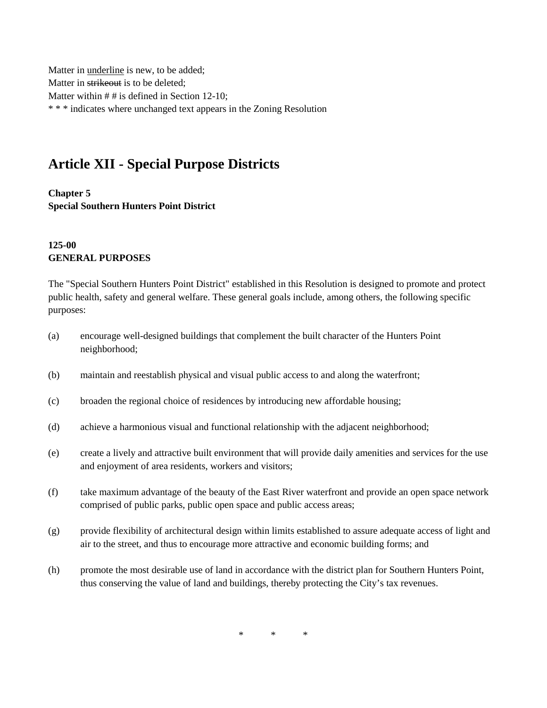Matter in underline is new, to be added; Matter in strikeout is to be deleted; Matter within # # is defined in Section 12-10; \* \* \* indicates where unchanged text appears in the Zoning Resolution

# **Article XII - Special Purpose Districts**

**Chapter 5 Special Southern Hunters Point District**

#### **125-00 GENERAL PURPOSES**

The "Special Southern Hunters Point District" established in this Resolution is designed to promote and protect public health, safety and general welfare. These general goals include, among others, the following specific purposes:

- (a) encourage well-designed buildings that complement the built character of the Hunters Point neighborhood;
- (b) maintain and reestablish physical and visual public access to and along the waterfront;
- (c) broaden the regional choice of residences by introducing new affordable housing;
- (d) achieve a harmonious visual and functional relationship with the adjacent neighborhood;
- (e) create a lively and attractive built environment that will provide daily amenities and services for the use and enjoyment of area residents, workers and visitors;
- (f) take maximum advantage of the beauty of the East River waterfront and provide an open space network comprised of public parks, public open space and public access areas;
- (g) provide flexibility of architectural design within limits established to assure adequate access of light and air to the street, and thus to encourage more attractive and economic building forms; and
- (h) promote the most desirable use of land in accordance with the district plan for Southern Hunters Point, thus conserving the value of land and buildings, thereby protecting the City's tax revenues.

 $*$  \* \*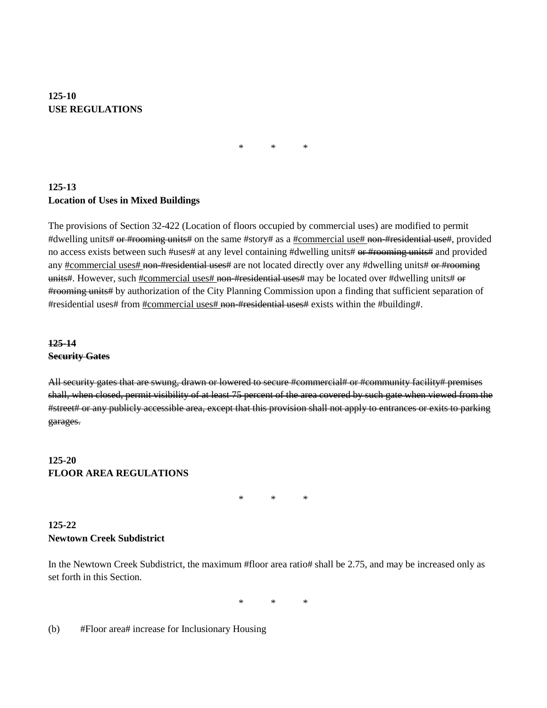## **125-10 USE REGULATIONS**

\* \* \*

## **125-13 Location of Uses in Mixed Buildings**

The provisions of Section 32-422 (Location of floors occupied by commercial uses) are modified to permit #dwelling units# or #rooming units# on the same #story# as a #commercial use# non-#residential use#, provided no access exists between such #uses# at any level containing #dwelling units# or #rooming units# and provided any #commercial uses# non-#residential uses# are not located directly over any #dwelling units# or #rooming units#. However, such #commercial uses# non-#residential uses# may be located over #dwelling units# or #rooming units# by authorization of the City Planning Commission upon a finding that sufficient separation of #residential uses# from #commercial uses# non-#residential uses# exists within the #building#.

### **125-14 Security Gates**

All security gates that are swung, drawn or lowered to secure #commercial# or #community facility# premises shall, when closed, permit visibility of at least 75 percent of the area covered by such gate when viewed from the #street# or any publicly accessible area, except that this provision shall not apply to entrances or exits to parking garages.

### **125-20 FLOOR AREA REGULATIONS**

\* \* \*

## **125-22 Newtown Creek Subdistrict**

In the Newtown Creek Subdistrict, the maximum #floor area ratio# shall be 2.75, and may be increased only as set forth in this Section.

\* \* \*

(b) #Floor area# increase for Inclusionary Housing